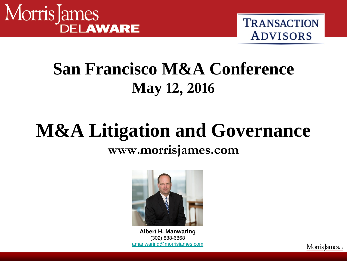



# **San Francisco M&A Conference May 12, 2016**

# **M&A Litigation and Governance**

#### **www.morrisjames.com**



**Little Albert H. Manwaring**<br> **Little Albert H. Manwaring**<br> **and 302) 888-6868** (302) 888-6868 **overally** [amanwaring@morrisjames.com](mailto:amanwaring@morrisjames.com)

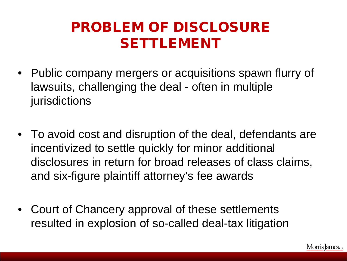### PROBLEM OF DISCLOSURE SETTLEMENT

- Public company mergers or acquisitions spawn flurry of lawsuits, challenging the deal - often in multiple jurisdictions
- To avoid cost and disruption of the deal, defendants are incentivized to settle quickly for minor additional disclosures in return for broad releases of class claims, and six-figure plaintiff attorney's fee awards
- Court of Chancery approval of these settlements resulted in explosion of so-called deal-tax litigation

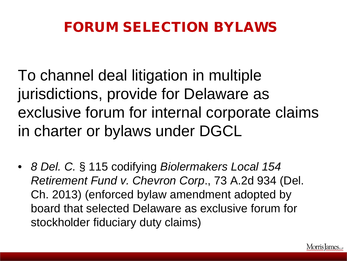## FORUM SELECTION BYLAWS

To channel deal litigation in multiple jurisdictions, provide for Delaware as exclusive forum for internal corporate claims in charter or bylaws under DGCL

• *8 Del. C.* § 115 codifying *Biolermakers Local 154 Retirement Fund v. Chevron Corp*., 73 A.2d 934 (Del. Ch. 2013) (enforced bylaw amendment adopted by board that selected Delaware as exclusive forum for stockholder fiduciary duty claims)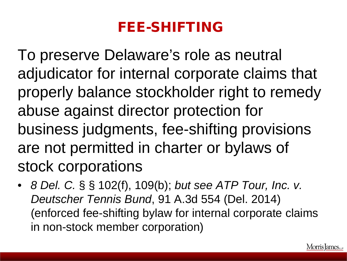### FEE-SHIFTING

To preserve Delaware's role as neutral adjudicator for internal corporate claims that properly balance stockholder right to remedy abuse against director protection for business judgments, fee-shifting provisions are not permitted in charter or bylaws of stock corporations

• *8 Del. C.* § § 102(f), 109(b); *but see ATP Tour, Inc. v. Deutscher Tennis Bund*, 91 A.3d 554 (Del. 2014) (enforced fee-shifting bylaw for internal corporate claims in non-stock member corporation)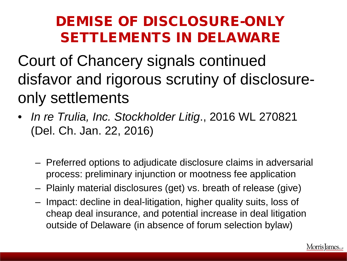### DEMISE OF DISCLOSURE-ONLY SETTLEMENTS IN DELAWARE

Court of Chancery signals continued disfavor and rigorous scrutiny of disclosureonly settlements

- *In re Trulia, Inc. Stockholder Litig*., 2016 WL 270821 (Del. Ch. Jan. 22, 2016)
	- Preferred options to adjudicate disclosure claims in adversarial process: preliminary injunction or mootness fee application
	- Plainly material disclosures (get) vs. breath of release (give)
	- Impact: decline in deal-litigation, higher quality suits, loss of cheap deal insurance, and potential increase in deal litigation outside of Delaware (in absence of forum selection bylaw)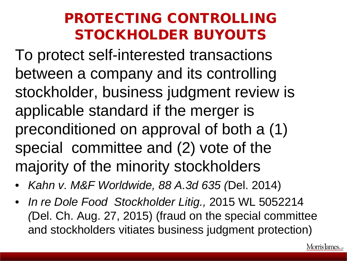#### PROTECTING CONTROLLING STOCKHOLDER BUYOUTS

To protect self-interested transactions between a company and its controlling stockholder, business judgment review is applicable standard if the merger is preconditioned on approval of both a (1) special committee and (2) vote of the majority of the minority stockholders

- *Kahn v. M&F Worldwide, 88 A.3d 635 (*Del. 2014)
- *In re Dole Food Stockholder Litig.,* 2015 WL 5052214 *(*Del. Ch. Aug. 27, 2015) (fraud on the special committee and stockholders vitiates business judgment protection)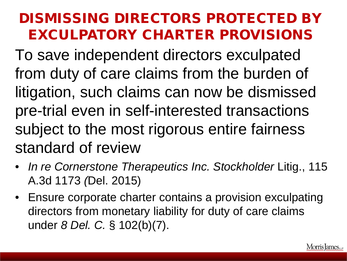#### DISMISSING DIRECTORS PROTECTED BY EXCULPATORY CHARTER PROVISIONS

To save independent directors exculpated from duty of care claims from the burden of litigation, such claims can now be dismissed pre-trial even in self-interested transactions subject to the most rigorous entire fairness standard of review

- *In re Cornerstone Therapeutics Inc. Stockholder Litig., 115* A.3d 1173 *(*Del. 2015)
- Ensure corporate charter contains a provision exculpating directors from monetary liability for duty of care claims under *8 Del. C.* § 102(b)(7).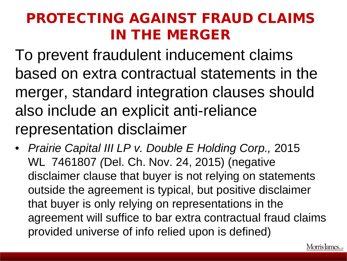### PROTECTING AGAINST FRAUD CLAIMS IN THE MERGER

To prevent fraudulent inducement claims based on extra contractual statements in the merger, standard integration clauses should also include an explicit anti-reliance representation disclaimer

• *Prairie Capital III LP v. Double E Holding Corp.,* 2015 WL 7461807 *(*Del. Ch. Nov. 24, 2015) (negative disclaimer clause that buyer is not relying on statements outside the agreement is typical, but positive disclaimer that buyer is only relying on representations in the agreement will suffice to bar extra contractual fraud claims provided universe of info relied upon is defined)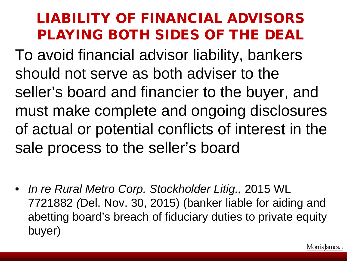### LIABILITY OF FINANCIAL ADVISORS PLAYING BOTH SIDES OF THE DEAL

To avoid financial advisor liability, bankers should not serve as both adviser to the seller's board and financier to the buyer, and must make complete and ongoing disclosures of actual or potential conflicts of interest in the sale process to the seller's board

• *In re Rural Metro Corp. Stockholder Litig.,* 2015 WL 7721882 *(*Del. Nov. 30, 2015) (banker liable for aiding and abetting board's breach of fiduciary duties to private equity buyer)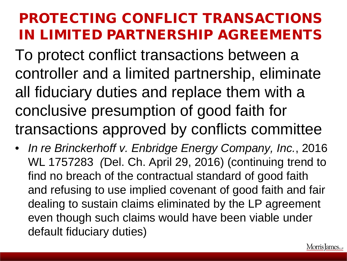### PROTECTING CONFLICT TRANSACTIONS IN LIMITED PARTNERSHIP AGREEMENTS

To protect conflict transactions between a controller and a limited partnership, eliminate all fiduciary duties and replace them with a conclusive presumption of good faith for transactions approved by conflicts committee

• *In re Brinckerhoff v. Enbridge Energy Company, Inc.*, 2016 WL 1757283 *(*Del. Ch. April 29, 2016) (continuing trend to find no breach of the contractual standard of good faith and refusing to use implied covenant of good faith and fair dealing to sustain claims eliminated by the LP agreement even though such claims would have been viable under default fiduciary duties)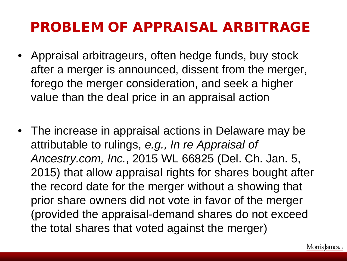#### PROBLEM OF APPRAISAL ARBITRAGE

- Appraisal arbitrageurs, often hedge funds, buy stock after a merger is announced, dissent from the merger, forego the merger consideration, and seek a higher value than the deal price in an appraisal action
- The increase in appraisal actions in Delaware may be attributable to rulings, *e.g., In re Appraisal of Ancestry.com, Inc.*, 2015 WL 66825 (Del. Ch. Jan. 5, 2015) that allow appraisal rights for shares bought after the record date for the merger without a showing that prior share owners did not vote in favor of the merger (provided the appraisal-demand shares do not exceed the total shares that voted against the merger)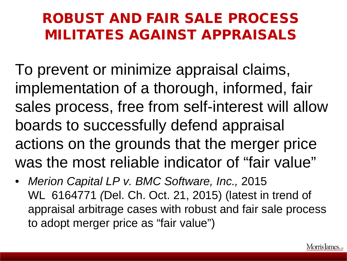#### ROBUST AND FAIR SALE PROCESS MILITATES AGAINST APPRAISALS

To prevent or minimize appraisal claims, implementation of a thorough, informed, fair sales process, free from self-interest will allow boards to successfully defend appraisal actions on the grounds that the merger price was the most reliable indicator of "fair value"

• *Merion Capital LP v. BMC Software, Inc.,* 2015 WL 6164771 *(*Del. Ch. Oct. 21, 2015) (latest in trend of appraisal arbitrage cases with robust and fair sale process to adopt merger price as "fair value")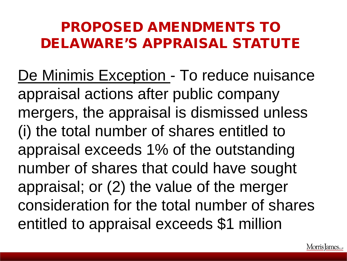### PROPOSED AMENDMENTS TO DELAWARE'S APPRAISAL STATUTE

De Minimis Exception - To reduce nuisance appraisal actions after public company mergers, the appraisal is dismissed unless (i) the total number of shares entitled to appraisal exceeds 1% of the outstanding number of shares that could have sought appraisal; or (2) the value of the merger consideration for the total number of shares entitled to appraisal exceeds \$1 million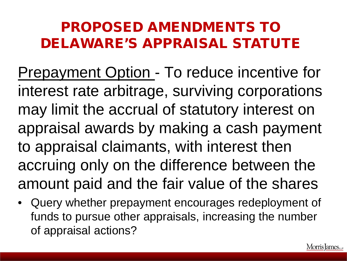## PROPOSED AMENDMENTS TO DELAWARE'S APPRAISAL STATUTE

Prepayment Option - To reduce incentive for interest rate arbitrage, surviving corporations may limit the accrual of statutory interest on appraisal awards by making a cash payment to appraisal claimants, with interest then accruing only on the difference between the amount paid and the fair value of the shares

Query whether prepayment encourages redeployment of funds to pursue other appraisals, increasing the number of appraisal actions?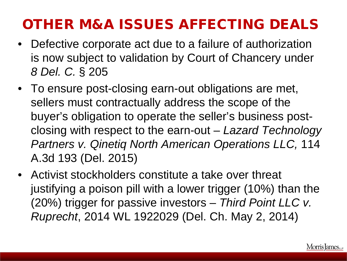# OTHER M&A ISSUES AFFECTING DEALS

- Defective corporate act due to a failure of authorization is now subject to validation by Court of Chancery under *8 Del. C.* § 205
- To ensure post-closing earn-out obligations are met, sellers must contractually address the scope of the buyer's obligation to operate the seller's business postclosing with respect to the earn-out – *Lazard Technology Partners v. Qinetiq North American Operations LLC,* 114 A.3d 193 (Del. 2015)
- Activist stockholders constitute a take over threat justifying a poison pill with a lower trigger (10%) than the (20%) trigger for passive investors – *Third Point LLC v. Ruprecht*, 2014 WL 1922029 (Del. Ch. May 2, 2014)

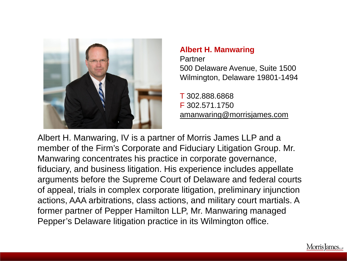

#### **Albert H. Manwaring** Partner 500 Delaware Avenue, Suite 1500 Wilmington, Delaware 19801-1494

T 302.888.6868 F 302.571.1750 amanwaring@morrisjames.com

Albert H. Manwaring, IV is a partner of Morris James LLP and a member of the Firm's Corporate and Fiduciary Litigation Group. Mr. Manwaring concentrates his practice in corporate governance, fiduciary, and business litigation. His experience includes appellate arguments before the Supreme Court of Delaware and federal courts of appeal, trials in complex corporate litigation, preliminary injunction actions, AAA arbitrations, class actions, and military court martials. A former partner of Pepper Hamilton LLP, Mr. Manwaring managed Pepper's Delaware litigation practice in its Wilmington office.

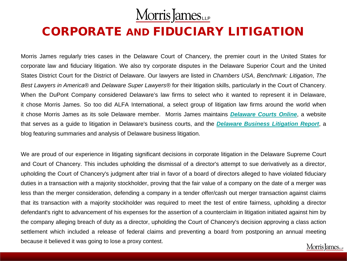#### Morris James

#### CORPORATE AND FIDUCIARY LITIGATION

Morris James regularly tries cases in the Delaware Court of Chancery, the premier court in the United States for corporate law and fiduciary litigation. We also try corporate disputes in the Delaware Superior Court and the United States District Court for the District of Delaware. Our lawyers are listed in *Chambers USA*, *Benchmark: Litigation*, *The Best Lawyers in America®* and *Delaware Super Lawyers®* for their litigation skills, particularly in the Court of Chancery. When the DuPont Company considered Delaware's law firms to select who it wanted to represent it in Delaware, it chose Morris James. So too did ALFA International, a select group of litigation law firms around the world when it chose Morris James as its sole Delaware member. Morris James maintains *[Delaware](http://www.delawarecourtsonline.com/) Courts Online*, a website that serves as a guide to litigation in Delaware's business courts, and the *Delaware Business [Litigation](http://www.delawarebusinesslitigation.com/) Report*, a blog featuring summaries and analysis of Delaware business litigation.

We are proud of our experience in litigating significant decisions in corporate litigation in the Delaware Supreme Court and Court of Chancery. This includes upholding the dismissal of a director's attempt to sue derivatively as a director, upholding the Court of Chancery's judgment after trial in favor of a board of directors alleged to have violated fiduciary duties in a transaction with a majority stockholder, proving that the fair value of a company on the date of a merger was less than the merger consideration, defending a company in a tender offer/cash out merger transaction against claims that its transaction with a majority stockholder was required to meet the test of entire fairness, upholding a director defendant's right to advancement of his expenses for the assertion of a counterclaim in litigation initiated against him by the company alleging breach of duty as a director, upholding the Court of Chancery's decision approving a class action settlement which included a release of federal claims and preventing a board from postponing an annual meeting because it believed it was going to lose a proxy contest. Morris James